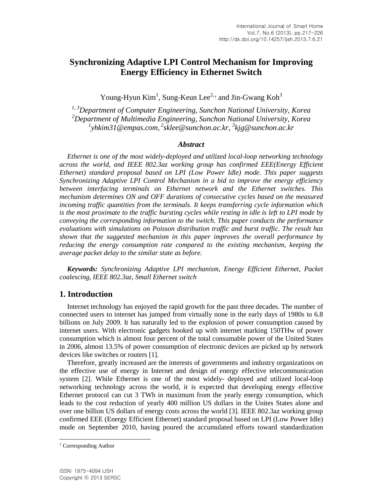# **Synchronizing Adaptive LPI Control Mechanism for Improving Energy Efficiency in Ethernet Switch**

Young-Hyun  $Kim<sup>1</sup>$ , Sung-Keun Lee<sup>2,[†](#page-0-0)</sup> and Jin-Gwang Koh<sup>3</sup>

*1, 3Department of Computer Engineering, Sunchon National University, Korea 2 Department of Multimedia Engineering, Sunchon National University, Korea 1 yhkim31@empas.com, 2 sklee@sunchon.ac.kr, <sup>3</sup> kjg@sunchon.ac.kr*

### *Abstract*

*Ethernet is one of the most widely-deployed and utilized local-loop networking technology across the world, and IEEE 802.3az working group has confirmed EEE(Energy Efficient Ethernet) standard proposal based on LPI (Low Power Idle) mode. This paper suggests Synchronizing Adaptive LPI Control Mechanism in a bid to improve the energy efficiency between interfacing terminals on Ethernet network and the Ethernet switches. This mechanism determines ON and OFF durations of consecutive cycles based on the measured incoming traffic quantities from the terminals. It keeps transferring cycle information which is the most proximate to the traffic bursting cycles while resting in idle is left to LPI mode by conveying the corresponding information to the switch. This paper conducts the performance evaluations with simulations on Poisson distribution traffic and burst traffic. The result has shown that the suggested mechanism in this paper improves the overall performance by reducing the energy consumption rate compared to the existing mechanism, keeping the average packet delay to the similar state as before.* 

*Keywords: Synchronizing Adaptive LPI mechanism, Energy Efficient Ethernet, Packet coalescing, IEEE 802.3az, Small Ethernet switch*

# **1. Introduction**

Internet technology has enjoyed the rapid growth for the past three decades. The number of connected users to internet has jumped from virtually none in the early days of 1980s to 6.8 billions on July 2009. It has naturally led to the explosion of power consumption caused by internet users. With electronic gadgets hooked up with internet marking 150THw of power consumption which is almost four percent of the total consumable power of the United States in 2006, almost 13.5% of power consumption of electronic devices are picked up by network devices like switches or routers [1].

Therefore, greatly increased are the interests of governments and industry organizations on the effective use of energy in Internet and design of energy effective telecommunication system [2]. While Ethernet is one of the most widely- deployed and utilized local-loop networking technology across the world, it is expected that developing energy effective Ethernet protocol can cut 3 TWh in maximum from the yearly energy consumption, which leads to the cost reduction of yearly 400 million US dollars in the Unites States alone and over one billion US dollars of energy costs across the world [3]. IEEE 802.3az working group confirmed EEE (Energy Efficient Ethernet) standard proposal based on LPI (Low Power Idle) mode on September 2010, having poured the accumulated efforts toward standardization

<span id="page-0-0"></span> <sup>†</sup> Corresponding Author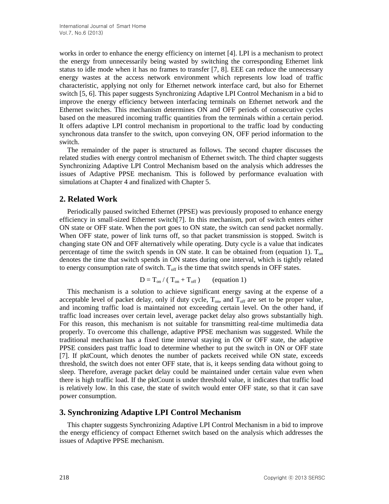works in order to enhance the energy efficiency on internet [4]. LPI is a mechanism to protect the energy from unnecessarily being wasted by switching the corresponding Ethernet link status to idle mode when it has no frames to transfer [7, 8]. EEE can reduce the unnecessary energy wastes at the access network environment which represents low load of traffic characteristic, applying not only for Ethernet network interface card, but also for Ethernet switch [5, 6]. This paper suggests Synchronizing Adaptive LPI Control Mechanism in a bid to improve the energy efficiency between interfacing terminals on Ethernet network and the Ethernet switches. This mechanism determines ON and OFF periods of consecutive cycles based on the measured incoming traffic quantities from the terminals within a certain period. It offers adaptive LPI control mechanism in proportional to the traffic load by conducting synchronous data transfer to the switch, upon conveying ON, OFF period information to the switch.

The remainder of the paper is structured as follows. The second chapter discusses the related studies with energy control mechanism of Ethernet switch. The third chapter suggests Synchronizing Adaptive LPI Control Mechanism based on the analysis which addresses the issues of Adaptive PPSE mechanism. This is followed by performance evaluation with simulations at Chapter 4 and finalized with Chapter 5.

# **2. Related Work**

Periodically paused switched Ethernet (PPSE) was previously proposed to enhance energy efficiency in small-sized Ethernet switch[7]. In this mechanism, port of switch enters either ON state or OFF state. When the port goes to ON state, the switch can send packet normally. When OFF state, power of link turns off, so that packet transmission is stopped. Switch is changing state ON and OFF alternatively while operating. Duty cycle is a value that indicates percentage of time the switch spends in ON state. It can be obtained from (equation 1).  $T_{on}$ denotes the time that switch spends in ON states during one interval, which is tightly related to energy consumption rate of switch.  $T_{\text{off}}$  is the time that switch spends in OFF states.

$$
D = T_{on} / (T_{on} + T_{off})
$$
 (equation 1)

This mechanism is a solution to achieve significant energy saving at the expense of a acceptable level of packet delay, only if duty cycle,  $T_{on}$ , and  $T_{off}$  are set to be proper value, and incoming traffic load is maintained not exceeding certain level. On the other hand, if traffic load increases over certain level, average packet delay also grows substantially high. For this reason, this mechanism is not suitable for transmitting real-time multimedia data properly. To overcome this challenge, adaptive PPSE mechanism was suggested. While the traditional mechanism has a fixed time interval staying in ON or OFF state, the adaptive PPSE considers past traffic load to determine whether to put the switch in ON or OFF state [7]. If pktCount, which denotes the number of packets received while ON state, exceeds threshold, the switch does not enter OFF state, that is, it keeps sending data without going to sleep. Therefore, average packet delay could be maintained under certain value even when there is high traffic load. If the pktCount is under threshold value, it indicates that traffic load is relatively low. In this case, the state of switch would enter OFF state, so that it can save power consumption.

# **3. Synchronizing Adaptive LPI Control Mechanism**

This chapter suggests Synchronizing Adaptive LPI Control Mechanism in a bid to improve the energy efficiency of compact Ethernet switch based on the analysis which addresses the issues of Adaptive PPSE mechanism.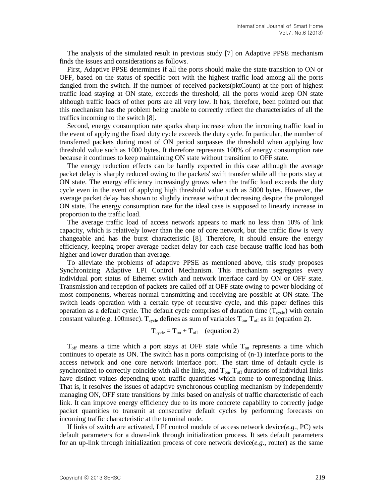The analysis of the simulated result in previous study [7] on Adaptive PPSE mechanism finds the issues and considerations as follows.

First, Adaptive PPSE determines if all the ports should make the state transition to ON or OFF, based on the status of specific port with the highest traffic load among all the ports dangled from the switch. If the number of received packets(pktCount) at the port of highest traffic load staying at ON state, exceeds the threshold, all the ports would keep ON state although traffic loads of other ports are all very low. It has, therefore, been pointed out that this mechanism has the problem being unable to correctly reflect the characteristics of all the traffics incoming to the switch [8].

Second, energy consumption rate sparks sharp increase when the incoming traffic load in the event of applying the fixed duty cycle exceeds the duty cycle. In particular, the number of transferred packets during most of ON period surpasses the threshold when applying low threshold value such as 1000 bytes. It therefore represents 100% of energy consumption rate because it continues to keep maintaining ON state without transition to OFF state.

The energy reduction effects can be hardly expected in this case although the average packet delay is sharply reduced owing to the packets' swift transfer while all the ports stay at ON state. The energy efficiency increasingly grows when the traffic load exceeds the duty cycle even in the event of applying high threshold value such as 5000 bytes. However, the average packet delay has shown to slightly increase without decreasing despite the prolonged ON state. The energy consumption rate for the ideal case is supposed to linearly increase in proportion to the traffic load.

The average traffic load of access network appears to mark no less than 10% of link capacity, which is relatively lower than the one of core network, but the traffic flow is very changeable and has the burst characteristic [8]. Therefore, it should ensure the energy efficiency, keeping proper average packet delay for each case because traffic load has both higher and lower duration than average.

To alleviate the problems of adaptive PPSE as mentioned above, this study proposes Synchronizing Adaptive LPI Control Mechanism. This mechanism segregates every individual port status of Ethernet switch and network interface card by ON or OFF state. Transmission and reception of packets are called off at OFF state owing to power blocking of most components, whereas normal transmitting and receiving are possible at ON state. The switch leads operation with a certain type of recursive cycle, and this paper defines this operation as a default cycle. The default cycle comprises of duration time  $(T_{cycle})$  with certain constant value(e.g. 100msec). T<sub>cycle</sub> defines as sum of variables  $T_{on}$ ,  $T_{off}$  as in (equation 2).

 $T_{cycle} = T_{on} + T_{off}$  (equation 2)

 $T_{\text{off}}$  means a time which a port stays at OFF state while  $T_{\text{on}}$  represents a time which continues to operate as ON. The switch has n ports comprising of (n-1) interface ports to the access network and one core network interface port. The start time of default cycle is synchronized to correctly coincide with all the links, and  $T_{on}$ ,  $T_{off}$  durations of individual links have distinct values depending upon traffic quantities which come to corresponding links. That is, it resolves the issues of adaptive synchronous coupling mechanism by independently managing ON, OFF state transitions by links based on analysis of traffic characteristic of each link. It can improve energy efficiency due to its more concrete capability to correctly judge packet quantities to transmit at consecutive default cycles by performing forecasts on incoming traffic characteristic at the terminal node.

If links of switch are activated, LPI control module of access network device(*e.g.*, PC) sets default parameters for a down-link through initialization process. It sets default parameters for an up-link through initialization process of core network device $(e, g, \cdot)$  router) as the same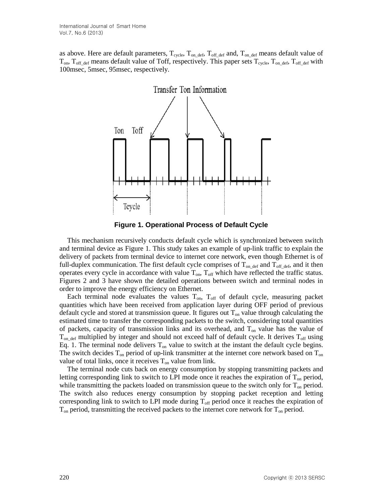as above. Here are default parameters,  $T_{cycle}$ ,  $T_{on\_def}$ ,  $T_{off\_def}$  and,  $T_{on\_def}$  means default value of  $T_{on}$ ,  $T_{off\_def}$  means default value of Toff, respectively. This paper sets  $T_{cycle}$ ,  $T_{on\_def}$ ,  $T_{off\_def}$  with 100msec, 5msec, 95msec, respectively.



**Figure 1. Operational Process of Default Cycle**

This mechanism recursively conducts default cycle which is synchronized between switch and terminal device as Figure 1. This study takes an example of up-link traffic to explain the delivery of packets from terminal device to internet core network, even though Ethernet is of full-duplex communication. The first default cycle comprises of  $T_{on\_def}$  and  $T_{off\_def}$ , and it then operates every cycle in accordance with value  $T_{on}$ ,  $T_{off}$  which have reflected the traffic status. Figures 2 and 3 have shown the detailed operations between switch and terminal nodes in order to improve the energy efficiency on Ethernet.

Each terminal node evaluates the values  $T_{on}$ ,  $T_{off}$  of default cycle, measuring packet quantities which have been received from application layer during OFF period of previous default cycle and stored at transmission queue. It figures out  $T_{on}$  value through calculating the estimated time to transfer the corresponding packets to the switch, considering total quantities of packets, capacity of transmission links and its overhead, and  $T_{on}$  value has the value of  $T_{on\_def}$  multiplied by integer and should not exceed half of default cycle. It derives  $T_{off}$  using Eq. 1. The terminal node delivers  $T_{on}$  value to switch at the instant the default cycle begins. The switch decides  $T_{on}$  period of up-link transmitter at the internet core network based on  $T_{on}$ value of total links, once it receives  $T_{on}$  value from link.

The terminal node cuts back on energy consumption by stopping transmitting packets and letting corresponding link to switch to LPI mode once it reaches the expiration of  $T_{on}$  period, while transmitting the packets loaded on transmission queue to the switch only for  $T_{on}$  period. The switch also reduces energy consumption by stopping packet reception and letting corresponding link to switch to LPI mode during  $T<sub>off</sub>$  period once it reaches the expiration of  $T_{on}$  period, transmitting the received packets to the internet core network for  $T_{on}$  period.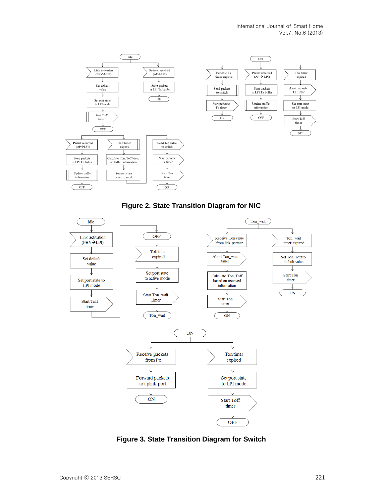





**Figure 3. State Transition Diagram for Switch**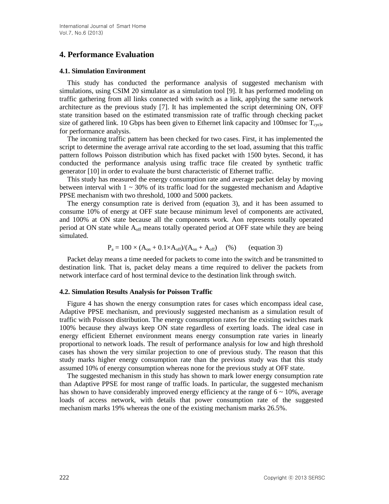# **4. Performance Evaluation**

### **4.1. Simulation Environment**

This study has conducted the performance analysis of suggested mechanism with simulations, using CSIM 20 simulator as a simulation tool [9]. It has performed modeling on traffic gathering from all links connected with switch as a link, applying the same network architecture as the previous study [7]. It has implemented the script determining ON, OFF state transition based on the estimated transmission rate of traffic through checking packet size of gathered link. 10 Gbps has been given to Ethernet link capacity and 100msec for  $T_{cycle}$ for performance analysis.

The incoming traffic pattern has been checked for two cases. First, it has implemented the script to determine the average arrival rate according to the set load, assuming that this traffic pattern follows Poisson distribution which has fixed packet with 1500 bytes. Second, it has conducted the performance analysis using traffic trace file created by synthetic traffic generator [10] in order to evaluate the burst characteristic of Ethernet traffic.

This study has measured the energy consumption rate and average packet delay by moving between interval with  $1 \sim 30\%$  of its traffic load for the suggested mechanism and Adaptive PPSE mechanism with two threshold, 1000 and 5000 packets.

The energy consumption rate is derived from (equation 3), and it has been assumed to consume 10% of energy at OFF state because minimum level of components are activated, and 100% at ON state because all the components work. Aon represents totally operated period at ON state while  $A<sub>off</sub>$  means totally operated period at OFF state while they are being simulated.

$$
P_a = 100 \times (A_{on} + 0.1 \times A_{off})/(A_{on} + A_{off}) \quad (*) \quad \text{(equation 3)}
$$

Packet delay means a time needed for packets to come into the switch and be transmitted to destination link. That is, packet delay means a time required to deliver the packets from network interface card of host terminal device to the destination link through switch.

#### **4.2. Simulation Results Analysis for Poisson Traffic**

Figure 4 has shown the energy consumption rates for cases which encompass ideal case, Adaptive PPSE mechanism, and previously suggested mechanism as a simulation result of traffic with Poisson distribution. The energy consumption rates for the existing switches mark 100% because they always keep ON state regardless of exerting loads. The ideal case in energy efficient Ethernet environment means energy consumption rate varies in linearly proportional to network loads. The result of performance analysis for low and high threshold cases has shown the very similar projection to one of previous study. The reason that this study marks higher energy consumption rate than the previous study was that this study assumed 10% of energy consumption whereas none for the previous study at OFF state.

The suggested mechanism in this study has shown to mark lower energy consumption rate than Adaptive PPSE for most range of traffic loads. In particular, the suggested mechanism has shown to have considerably improved energy efficiency at the range of  $6 \sim 10\%$ , average loads of access network, with details that power consumption rate of the suggested mechanism marks 19% whereas the one of the existing mechanism marks 26.5%.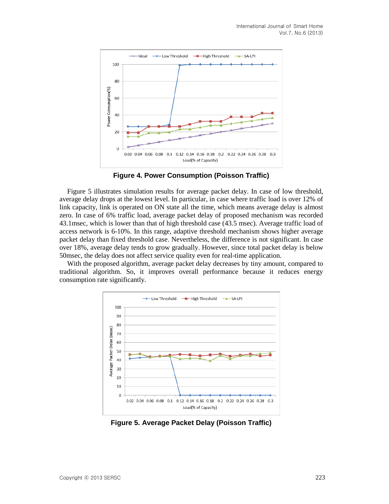

**Figure 4. Power Consumption (Poisson Traffic)**

Figure 5 illustrates simulation results for average packet delay. In case of low threshold, average delay drops at the lowest level. In particular, in case where traffic load is over 12% of link capacity, link is operated on ON state all the time, which means average delay is almost zero. In case of 6% traffic load, average packet delay of proposed mechanism was recorded 43.1msec, which is lower than that of high threshold case (43.5 msec). Average traffic load of access network is 6-10%. In this range, adaptive threshold mechanism shows higher average packet delay than fixed threshold case. Nevertheless, the difference is not significant. In case over 18%, average delay tends to grow gradually. However, since total packet delay is below 50msec, the delay does not affect service quality even for real-time application.

With the proposed algorithm, average packet delay decreases by tiny amount, compared to traditional algorithm. So, it improves overall performance because it reduces energy consumption rate significantly.



**Figure 5. Average Packet Delay (Poisson Traffic)**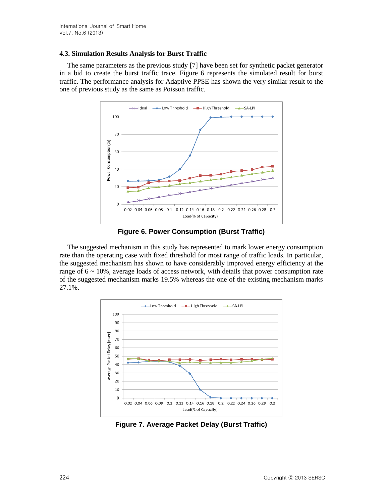### **4.3. Simulation Results Analysis for Burst Traffic**

The same parameters as the previous study [7] have been set for synthetic packet generator in a bid to create the burst traffic trace. Figure 6 represents the simulated result for burst traffic. The performance analysis for Adaptive PPSE has shown the very similar result to the one of previous study as the same as Poisson traffic.



**Figure 6. Power Consumption (Burst Traffic)**

The suggested mechanism in this study has represented to mark lower energy consumption rate than the operating case with fixed threshold for most range of traffic loads. In particular, the suggested mechanism has shown to have considerably improved energy efficiency at the range of  $6 \sim 10\%$ , average loads of access network, with details that power consumption rate of the suggested mechanism marks 19.5% whereas the one of the existing mechanism marks 27.1%.



**Figure 7. Average Packet Delay (Burst Traffic)**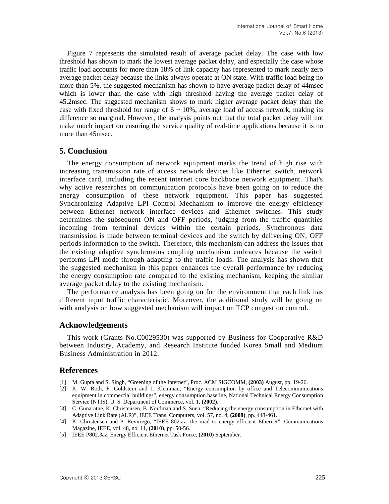Figure 7 represents the simulated result of average packet delay. The case with low threshold has shown to mark the lowest average packet delay, and especially the case whose traffic load accounts for more than 18% of link capacity has represented to mark nearly zero average packet delay because the links always operate at ON state. With traffic load being no more than 5%, the suggested mechanism has shown to have average packet delay of 44msec which is lower than the case with high threshold having the average packet delay of 45.2msec. The suggested mechanism shows to mark higher average packet delay than the case with fixed threshold for range of  $6 \sim 10\%$ , average load of access network, making its difference so marginal. However, the analysis points out that the total packet delay will not make much impact on ensuring the service quality of real-time applications because it is no more than 45msec.

# **5. Conclusion**

The energy consumption of network equipment marks the trend of high rise with increasing transmission rate of access network devices like Ethernet switch, network interface card, including the recent internet core backbone network equipment. That's why active researches on communication protocols have been going on to reduce the energy consumption of these network equipment. This paper has suggested Synchronizing Adaptive LPI Control Mechanism to improve the energy efficiency between Ethernet network interface devices and Ethernet switches. This study determines the subsequent ON and OFF periods, judging from the traffic quantities incoming from terminal devices within the certain periods. Synchronous data transmission is made between terminal devices and the switch by delivering ON, OFF periods information to the switch. Therefore, this mechanism can address the issues that the existing adaptive synchronous coupling mechanism embraces because the switch performs LPI mode through adapting to the traffic loads. The analysis has shown that the suggested mechanism in this paper enhances the overall performance by reducing the energy consumption rate compared to the existing mechanism, keeping the similar average packet delay to the existing mechanism.

The performance analysis has been going on for the environment that each link has different input traffic characteristic. Moreover, the additional study will be going on with analysis on how suggested mechanism will impact on TCP congestion control.

### **Acknowledgements**

This work (Grants No.C0029530) was supported by Business for Cooperative R&D between Industry, Academy, and Research Institute funded Korea Small and Medium Business Administration in 2012.

#### **References**

- [1] M. Gupta and S. Singh, "Greening of the Internet", Proc. ACM SIGCOMM, **(2003)** August, pp. 19-26.
- [2] K. W. Roth, F. Goldstein and J. Kleinman, "Energy consumption by office and Telecommunications equipment in commercial buildings", energy consumption baseline, National Technical Energy Consumption Service (NTIS), U. S. Department of Commerce, vol. 1, **(2002)**.
- [3] C. Gunaratne, K. Christensen, B. Nordman and S. Suen, "Reducing the energy consumption in Ethernet with Adaptive Link Rate (ALR)", IEEE Trans. Computers, vol. 57, no. 4, **(2008)**, pp. 448-461.
- [4] K. Christensen and P. Reviriego, "IEEE 802.az: the road to energy efficient Ethernet", Communications Magazine, IEEE, vol. 48, no. 11, **(2010)**, pp. 50-56.
- [5] IEEE P802.3az, Energy Efficient Ethernet Task Force, **(2010)** September.